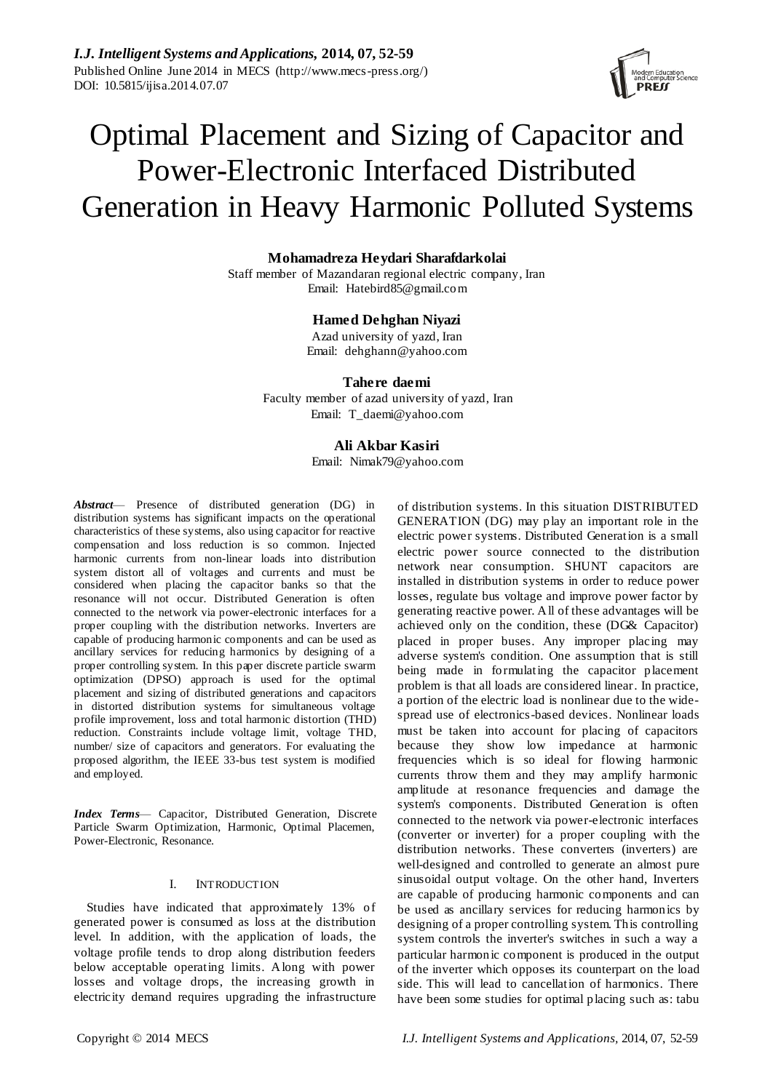

# Optimal Placement and Sizing of Capacitor and Power-Electronic Interfaced Distributed Generation in Heavy Harmonic Polluted Systems

## **Mohamadreza Heydari Sharafdarkolai**

Staff member of Mazandaran regional electric company, Iran Email: Hatebird85@gmail.com

# **Hamed Dehghan Niyazi**

Azad university of yazd, Iran Email: dehghann@yahoo.com

### **Tahere daemi**

Faculty member of azad university of yazd, Iran Email: T\_daemi@yahoo.com

# **Ali Akbar Kasiri**

Email: Nimak79@yahoo.com

*Abstract*— Presence of distributed generation (DG) in distribution systems has significant impacts on the operational characteristics of these systems, also using capacitor for reactive compensation and loss reduction is so common. Injected harmonic currents from non-linear loads into distribution system distort all of voltages and currents and must be considered when placing the capacitor banks so that the resonance will not occur. Distributed Generation is often connected to the network via power-electronic interfaces for a proper coupling with the distribution networks. Inverters are capable of producing harmonic components and can be used as ancillary services for reducing harmonics by designing of a proper controlling system. In this paper discrete particle swarm optimization (DPSO) approach is used for the optimal placement and sizing of distributed generations and capacitors in distorted distribution systems for simultaneous voltage profile improvement, loss and total harmonic distortion (THD) reduction. Constraints include voltage limit, voltage THD, number/ size of capacitors and generators. For evaluating the proposed algorithm, the IEEE 33-bus test system is modified and employed.

*Index Terms*— Capacitor, Distributed Generation, Discrete Particle Swarm Optimization, Harmonic, Optimal Placemen, Power-Electronic, Resonance.

# I. INTRODUCTION

Studies have indicated that approximately 13% of generated power is consumed as loss at the distribution level. In addition, with the application of loads, the voltage profile tends to drop along distribution feeders below acceptable operating limits. Along with power losses and voltage drops, the increasing growth in electricity demand requires upgrading the infrastructure

of distribution systems. In this situation DISTRIBUTED GENERATION (DG) may play an important role in the electric power systems. Distributed Generation is a small electric power source connected to the distribution network near consumption. SHUNT capacitors are installed in distribution systems in order to reduce power losses, regulate bus voltage and improve power factor by generating reactive power. All of these advantages will be achieved only on the condition, these (DG& Capacitor) placed in proper buses. Any improper placing may adverse system's condition. One assumption that is still being made in formulating the capacitor placement problem is that all loads are considered linear. In practice, a portion of the electric load is nonlinear due to the widespread use of electronics-based devices. Nonlinear loads must be taken into account for placing of capacitors because they show low impedance at harmonic frequencies which is so ideal for flowing harmonic currents throw them and they may amplify harmonic amplitude at resonance frequencies and damage the system's components. Distributed Generation is often connected to the network via power-electronic interfaces (converter or inverter) for a proper coupling with the distribution networks. These converters (inverters) are well-designed and controlled to generate an almost pure sinusoidal output voltage. On the other hand, Inverters are capable of producing harmonic components and can be used as ancillary services for reducing harmonics by designing of a proper controlling system. This controlling system controls the inverter's switches in such a way a particular harmonic component is produced in the output of the inverter which opposes its counterpart on the load side. This will lead to cancellation of harmonics. There have been some studies for optimal placing such as: tabu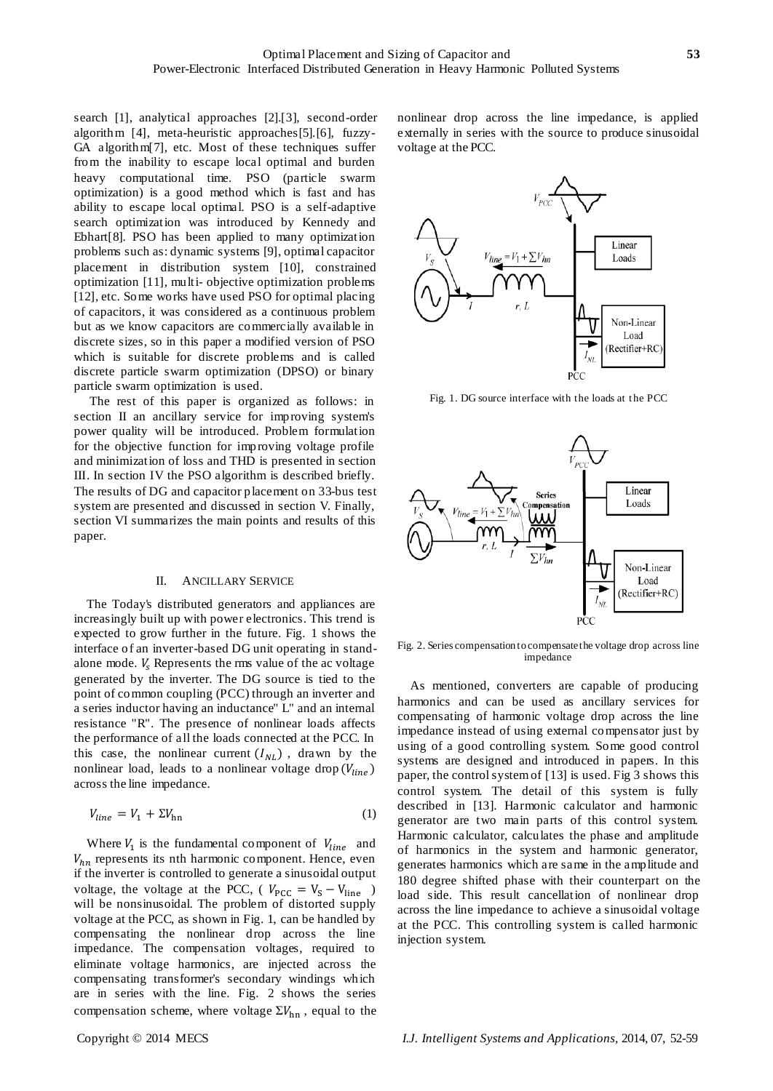search [1], analytical approaches [2].[3], second-order algorithm [4], meta-heuristic approaches[5].[6], fuzzy-GA algorithm[7], etc. Most of these techniques suffer from the inability to escape local optimal and burden heavy computational time. PSO (particle swarm optimization) is a good method which is fast and has ability to escape local optimal. PSO is a self-adaptive search optimization was introduced by Kennedy and Ebhart[8]. PSO has been applied to many optimization problems such as: dynamic systems [9], optimal capacitor placement in distribution system [10], constrained optimization [11], multi- objective optimization problems [12], etc. Some works have used PSO for optimal placing of capacitors, it was considered as a continuous problem but as we know capacitors are commercially available in discrete sizes, so in this paper a modified version of PSO which is suitable for discrete problems and is called discrete particle swarm optimization (DPSO) or binary particle swarm optimization is used.

The rest of this paper is organized as follows: in section II an ancillary service for improving system's power quality will be introduced. Problem formulation for the objective function for improving voltage profile and minimization of loss and THD is presented in section III. In section IV the PSO algorithm is described briefly. The results of DG and capacitor placement on 33-bus test system are presented and discussed in section V. Finally, section VI summarizes the main points and results of this paper.

#### II. ANCILLARY SERVICE

The Today's distributed generators and appliances are increasingly built up with power electronics. This trend is expected to grow further in the future. Fig. 1 shows the interface of an inverter-based DG unit operating in standalone mode.  $V_s$  Represents the rms value of the ac voltage generated by the inverter. The DG source is tied to the point of common coupling (PCC) through an inverter and a series inductor having an inductance" L" and an internal resistance "R". The presence of nonlinear loads affects the performance of all the loads connected at the PCC. In this case, the nonlinear current  $(I_{NL})$ , drawn by the nonlinear load, leads to a nonlinear voltage drop  $(V_{line})$ across the line impedance.

$$
V_{line} = V_1 + \Sigma V_{\text{hn}} \tag{1}
$$

Where  $V_1$  is the fundamental component of  $V_{line}$  and  $V_{hn}$  represents its nth harmonic component. Hence, even if the inverter is controlled to generate a sinusoidal output voltage, the voltage at the PCC, ( $V_{PCC} = V_S - V_{line}$ ) will be nonsinusoidal. The problem of distorted supply voltage at the PCC, as shown in Fig. 1, can be handled by compensating the nonlinear drop across the line impedance. The compensation voltages, required to eliminate voltage harmonics, are injected across the compensating transformer's secondary windings which are in series with the line. Fig. 2 shows the series compensation scheme, where voltage  $\Sigma V_{\text{hn}}$ , equal to the

nonlinear drop across the line impedance, is applied externally in series with the source to produce sinusoidal voltage at the PCC.



Fig. 1. DG source interface with the loads at the PCC



Fig. 2. Series compensation to compensate the voltage drop across line impedance

As mentioned, converters are capable of producing harmonics and can be used as ancillary services for compensating of harmonic voltage drop across the line impedance instead of using external compensator just by using of a good controlling system. Some good control systems are designed and introduced in papers. In this paper, the control system of [13] is used. Fig 3 shows this control system. The detail of this system is fully described in [13]. Harmonic calculator and harmonic generator are two main parts of this control system. Harmonic calculator, calculates the phase and amplitude of harmonics in the system and harmonic generator, generates harmonics which are same in the amplitude and 180 degree shifted phase with their counterpart on the load side. This result cancellation of nonlinear drop across the line impedance to achieve a sinusoidal voltage at the PCC. This controlling system is called harmonic injection system.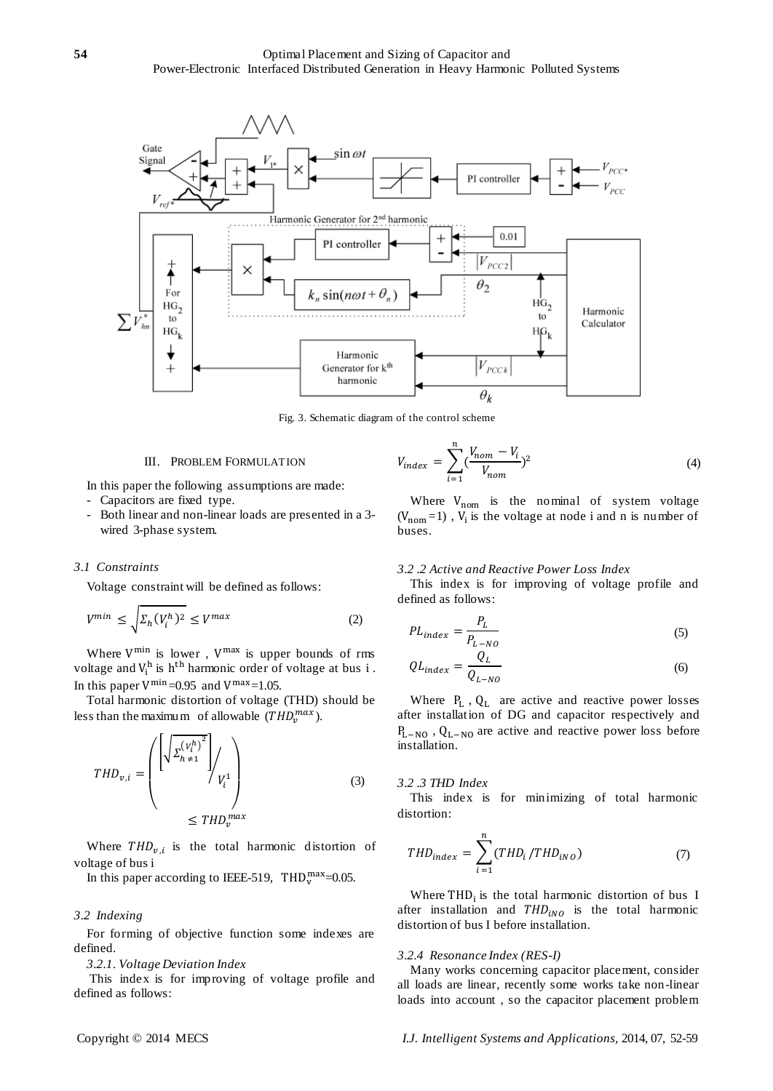

Fig. 3. Schematic diagram of the control scheme

#### III. PROBLEM FORMULATION

In this paper the following assumptions are made:

- Capacitors are fixed type.
- Both linear and non-linear loads are presented in a 3 wired 3-phase system.

## *3.1 Constraints*

Voltage constraint will be defined as follows:

$$
V^{min} \le \sqrt{\Sigma_h (V_i^h)^2} \le V^{max} \tag{2}
$$

Where  $V^{\min}$  is lower,  $V^{\max}$  is upper bounds of rms voltage and  $V_i^h$  is h<sup>th</sup> harmonic order of voltage at bus i. In this paper  $V^{\min}$  = 0.95 and  $V^{\max}$  = 1.05.

Total harmonic distortion of voltage (THD) should be less than the maximum of allowable  $(THD_v^{max})$ .

$$
THD_{v,i} = \left( \frac{\left( \sqrt{\sum_{h=1}^{(V_i^h)^2}} \right)}{V_i^1} \right)
$$
\n
$$
\leq THD_v^{max}
$$
\n(3)

Where  $THD_{v,i}$  is the total harmonic distortion of voltage of bus i

In this paper according to IEEE-519, THD $_{\rm v}^{\rm max}$ =0.05.

#### *3.2 Indexing*

For forming of objective function some indexes are defined.

*3.2.1. Voltage Deviation Index*

This index is for improving of voltage profile and defined as follows:

$$
V_{index} = \sum_{i=1}^{n} \left( \frac{V_{nom} - V_i}{V_{nom}} \right)^2
$$
 (4)

Where  $V_{\text{nom}}$  is the nominal of system voltage  $(V_{\text{nom}}=1)$ ,  $V_i$  is the voltage at node i and n is number of buses.

#### *3.2 .2 Active and Reactive Power Loss Index*

This index is for improving of voltage profile and defined as follows:

$$
PL_{index} = \frac{P_L}{P_{L-NO}}\tag{5}
$$

$$
QL_{index} = \frac{Q_L}{Q_{L-NO}}
$$
 (6)

Where  $P_L$ ,  $Q_L$  are active and reactive power losses after installation of DG and capacitor respectively and  $P_{L-NO}$ ,  $Q_{L-NO}$  are active and reactive power loss before installation.

#### *3.2 .3 THD Index*

This index is for minimizing of total harmonic distortion:

$$
THD_{index} = \sum_{i=1}^{n} (THD_i / THD_{iNO})
$$
 (7)

Where  $THD_i$  is the total harmonic distortion of bus I after installation and  $THD<sub>iNO</sub>$  is the total harmonic distortion of bus I before installation.

#### *3.2.4 Resonance Index (RES-I)*

Many works concerning capacitor placement, consider all loads are linear, recently some works take non-linear loads into account , so the capacitor placement problem

Copyright © 2014 MECS *I.J. Intelligent Systems and Applications,* 2014, 07, 52-59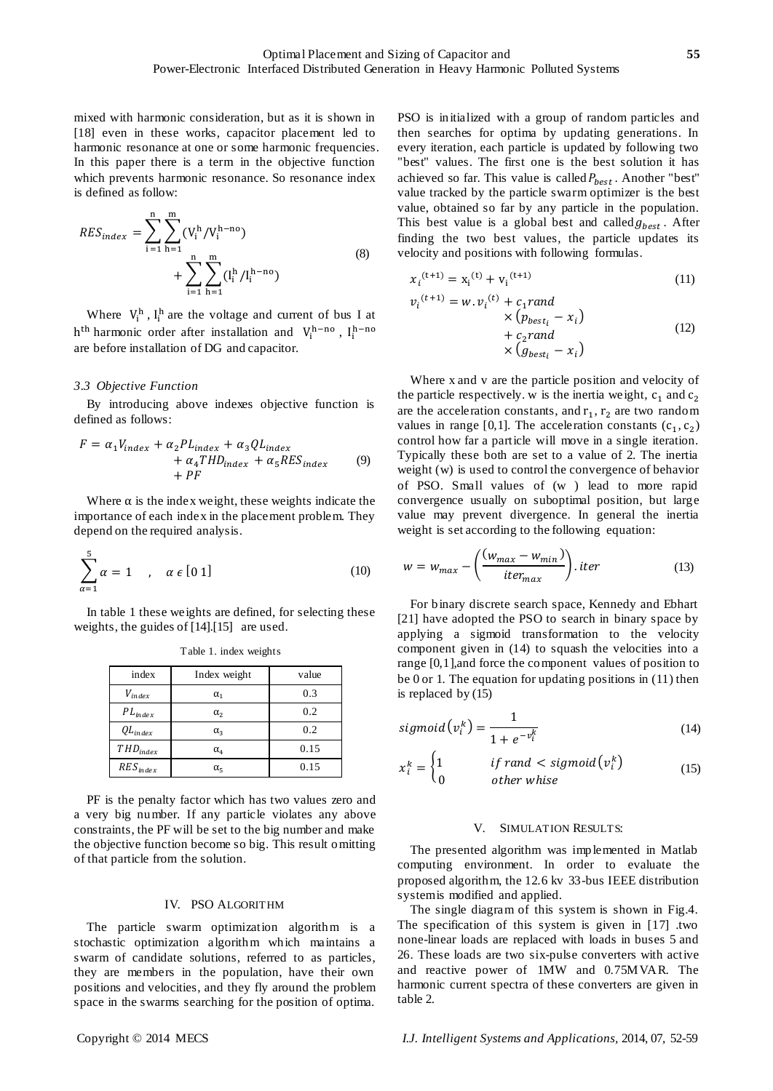mixed with harmonic consideration, but as it is shown in [18] even in these works, capacitor placement led to harmonic resonance at one or some harmonic frequencies. In this paper there is a term in the objective function which prevents harmonic resonance. So resonance index is defined as follow:

$$
RES_{index} = \sum_{i=1}^{n} \sum_{h=1}^{m} (V_i^h / V_i^{h-no}) + \sum_{i=1}^{n} \sum_{h=1}^{m} (I_i^h / I_i^{h-no})
$$
\n(8)

Where  $V_i^h$ ,  $I_i^h$  are the voltage and current of bus I at h<sup>th</sup> harmonic order after installation and  $V_i^{h-no}$ ,  $I_i^{h-no}$ are before installation of DG and capacitor.

#### *3.3 Objective Function*

By introducing above indexes objective function is defined as follows:

$$
F = \alpha_1 V_{index} + \alpha_2 PL_{index} + \alpha_3 Q L_{index}
$$
  
+ 
$$
\alpha_4 THD_{index} + \alpha_5 RES_{index}
$$
 (9)  
+ 
$$
PF
$$

Where  $\alpha$  is the index weight, these weights indicate the importance of each index in the placement problem. They depend on the required analysis.

$$
\sum_{\alpha=1}^{5} \alpha = 1 \quad , \quad \alpha \in [0 \, 1] \tag{10}
$$

In table 1 these weights are defined, for selecting these weights, the guides of [14].[15] are used.

| index         | Index weight                     | value |
|---------------|----------------------------------|-------|
| $V_{index}$   | $\alpha_1$                       | 0.3   |
| $PL_{index}$  | $\alpha_{2}$                     | 0.2   |
| $QL_{index}$  | $\alpha_{3}$                     | 0.2   |
| $THD_{index}$ | $\alpha_{\scriptscriptstyle{A}}$ | 0.15  |
| $RES_{index}$ | $\alpha_{5}$                     | 0.15  |

Table 1. index weights

PF is the penalty factor which has two values zero and a very big number. If any particle violates any above constraints, the PF will be set to the big number and make the objective function become so big. This result omitting of that particle from the solution.

#### IV. PSO ALGORITHM

The particle swarm optimization algorithm is a stochastic optimization algorithm which maintains a swarm of candidate solutions, referred to as particles, they are members in the population, have their own positions and velocities, and they fly around the problem space in the swarms searching for the position of optima.

PSO is initialized with a group of random particles and then searches for optima by updating generations. In every iteration, each particle is updated by following two "best" values. The first one is the best solution it has achieved so far. This value is called  $P_{best}$ . Another "best" value tracked by the particle swarm optimizer is the best value, obtained so far by any particle in the population. This best value is a global best and called  $g_{best}$ . After finding the two best values, the particle updates its velocity and positions with following formulas.

$$
x_i^{(t+1)} = x_i^{(t)} + v_i^{(t+1)}
$$
\n(11)

$$
v_i^{(t+1)} = w \cdot v_i^{(t)} + c_1 \text{rand}
$$
  
\n
$$
\times (p_{best_i} - x_i)
$$
  
\n
$$
+ c_2 \text{rand}
$$
  
\n
$$
\times (g_{best_i} - x_i)
$$
  
\n(12)

Where x and v are the particle position and velocity of the particle respectively. w is the inertia weight,  $c_1$  and  $c_2$ are the acceleration constants, and  $r_1$ ,  $r_2$  are two random values in range [0,1]. The acceleration constants  $(c_1, c_2)$ control how far a particle will move in a single iteration. Typically these both are set to a value of 2. The inertia weight (w) is used to control the convergence of behavior of PSO. Small values of (w ) lead to more rapid convergence usually on suboptimal position, but large value may prevent divergence. In general the inertia weight is set according to the following equation:

$$
w = w_{max} - \left(\frac{(w_{max} - w_{min})}{iter_{max}}\right).iter
$$
 (13)

For binary discrete search space, Kennedy and Ebhart [21] have adopted the PSO to search in binary space by applying a sigmoid transformation to the velocity component given in (14) to squash the velocities into a range [0,1],and force the component values of position to be 0 or 1. The equation for updating positions in (11) then is replaced by (15)

$$
sigmoid(v_i^k) = \frac{1}{1 + e^{-v_i^k}}
$$
\n(14)

$$
x_i^k = \begin{cases} 1 & \text{if rand} < sigmoid(v_i^k) \\ 0 & \text{other white} \end{cases} \tag{15}
$$

#### V. SIMULATION RESULTS:

The presented algorithm was implemented in Matlab computing environment. In order to evaluate the proposed algorithm, the 12.6 kv 33-bus IEEE distribution system is modified and applied.

The single diagram of this system is shown in Fig.4. The specification of this system is given in [17] .two none-linear loads are replaced with loads in buses 5 and 26. These loads are two six-pulse converters with active and reactive power of 1MW and 0.75MVAR. The harmonic current spectra of these converters are given in table 2.

Copyright © 2014 MECS *I.J. Intelligent Systems and Applications,* 2014, 07, 52-59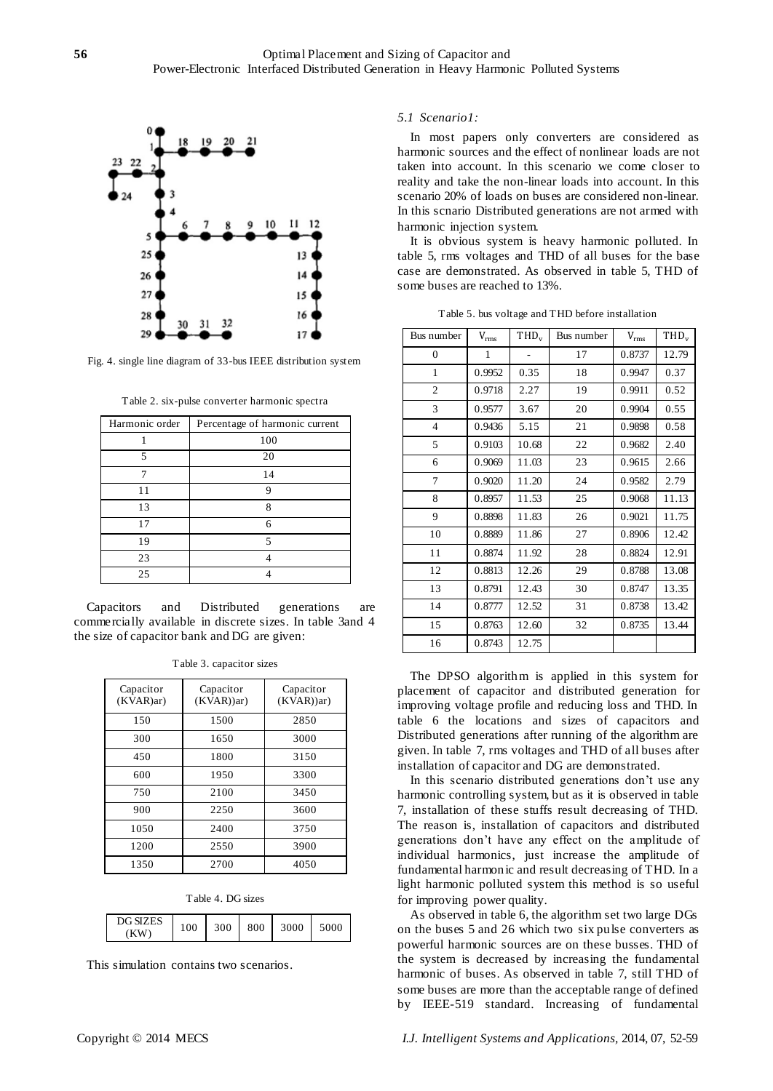

Fig. 4. single line diagram of 33-bus IEEE distribution system

Table 2. six-pulse converter harmonic spectra

| Harmonic order | Percentage of harmonic current |
|----------------|--------------------------------|
|                | 100                            |
| 5              | 20                             |
|                | 14                             |
| 11             | 9                              |
| 13             | 8                              |
| 17             | 6                              |
| 19             | 5                              |
| 23             |                                |
| 25             |                                |

Capacitors and Distributed generations are commercially available in discrete sizes. In table 3and 4 the size of capacitor bank and DG are given:

| Capacitor<br>(KVAR)ar) | Capacitor<br>$(KVAR)$ )ar) | Capacitor<br>$(KVAR)$ )ar) |
|------------------------|----------------------------|----------------------------|
| 150                    | 1500                       | 2850                       |
| 300                    | 1650                       | 3000                       |
| 450                    | 1800                       | 3150                       |
| 600                    | 1950                       | 3300                       |
| 750                    | 2100                       | 3450                       |
| 900                    | 2250                       | 3600                       |
| 1050                   | 2400                       | 3750                       |
| 1200                   | 2550                       | 3900                       |
| 1350                   | 2700                       | 4050                       |

Table 3. capacitor sizes

| Table 4. DG sizes |
|-------------------|
|                   |

| <b>DG SIZES</b><br>ΚW | 100 | ovc | 800 | 3000 |  |
|-----------------------|-----|-----|-----|------|--|
|                       |     |     |     |      |  |

This simulation contains two scenarios.

#### *5.1 Scenario1:*

In most papers only converters are considered as harmonic sources and the effect of nonlinear loads are not taken into account. In this scenario we come closer to reality and take the non-linear loads into account. In this scenario 20% of loads on buses are considered non-linear. In this scnario Distributed generations are not armed with harmonic injection system.

It is obvious system is heavy harmonic polluted. In table 5, rms voltages and THD of all buses for the base case are demonstrated. As observed in table 5, THD of some buses are reached to 13%.

Table 5. bus voltage and THD before installation

| Bus number   | $V_{rms}$ | TH <sub>D</sub> <sub>v</sub> | Bus number | $V_{rms}$ | $THD_v$ |
|--------------|-----------|------------------------------|------------|-----------|---------|
| $\mathbf{0}$ | 1         |                              | 17         | 0.8737    | 12.79   |
| 1            | 0.9952    | 0.35                         | 18         | 0.9947    | 0.37    |
| 2            | 0.9718    | 2.27                         | 19         | 0.9911    | 0.52    |
| 3            | 0.9577    | 3.67                         | 20         | 0.9904    | 0.55    |
| 4            | 0.9436    | 5.15                         | 21         | 0.9898    | 0.58    |
| 5            | 0.9103    | 10.68                        | 22         | 0.9682    | 2.40    |
| 6            | 0.9069    | 11.03                        | 23         | 0.9615    | 2.66    |
| 7            | 0.9020    | 11.20                        | 24         | 0.9582    | 2.79    |
| 8            | 0.8957    | 11.53                        | 25         | 0.9068    | 11.13   |
| 9            | 0.8898    | 11.83                        | 26         | 0.9021    | 11.75   |
| 10           | 0.8889    | 11.86                        | 27         | 0.8906    | 12.42   |
| 11           | 0.8874    | 11.92                        | 28         | 0.8824    | 12.91   |
| 12           | 0.8813    | 12.26                        | 29         | 0.8788    | 13.08   |
| 13           | 0.8791    | 12.43                        | 30         | 0.8747    | 13.35   |
| 14           | 0.8777    | 12.52                        | 31         | 0.8738    | 13.42   |
| 15           | 0.8763    | 12.60                        | 32         | 0.8735    | 13.44   |
| 16           | 0.8743    | 12.75                        |            |           |         |

The DPSO algorithm is applied in this system for placement of capacitor and distributed generation for improving voltage profile and reducing loss and THD. In table 6 the locations and sizes of capacitors and Distributed generations after running of the algorithm are given. In table 7, rms voltages and THD of all buses after installation of capacitor and DG are demonstrated.

In this scenario distributed generations don't use any harmonic controlling system, but as it is observed in table 7, installation of these stuffs result decreasing of THD. The reason is, installation of capacitors and distributed generations don't have any effect on the amplitude of individual harmonics, just increase the amplitude of fundamental harmonic and result decreasing of THD. In a light harmonic polluted system this method is so useful for improving power quality.

As observed in table 6, the algorithm set two large DGs on the buses 5 and 26 which two six pulse converters as powerful harmonic sources are on these busses. THD of the system is decreased by increasing the fundamental harmonic of buses. As observed in table 7, still THD of some buses are more than the acceptable range of defined by IEEE-519 standard. Increasing of fundamental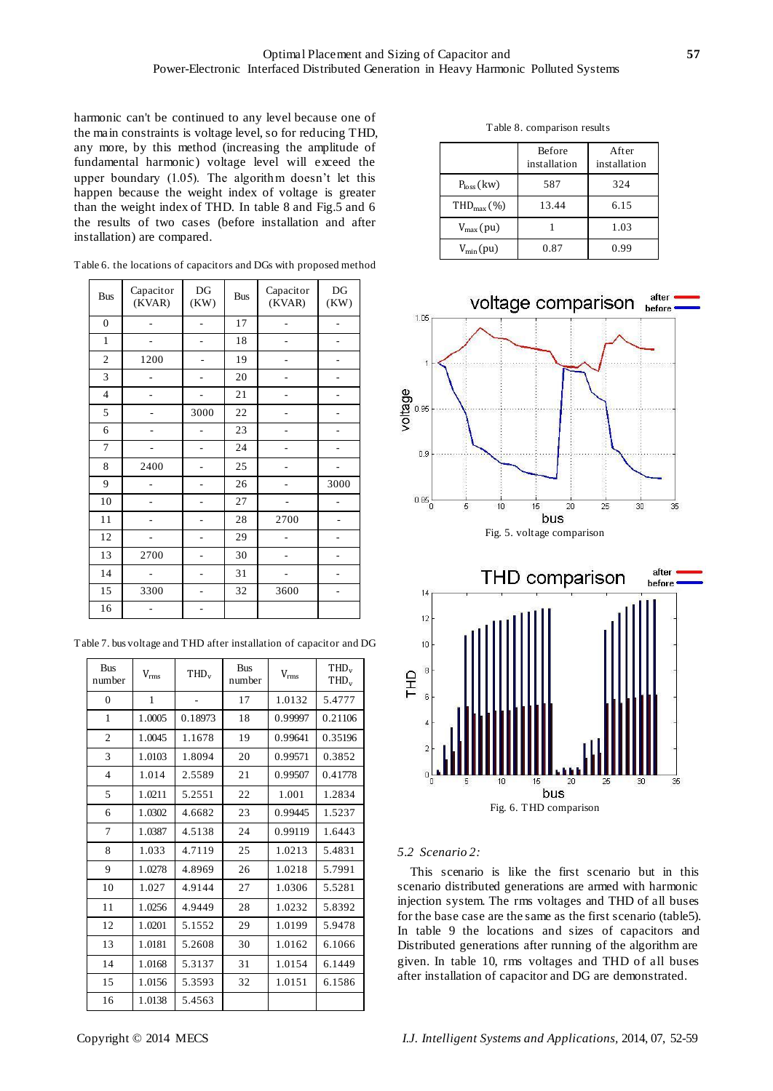harmonic can't be continued to any level because one of the main constraints is voltage level, so for reducing THD, any more, by this method (increasing the amplitude of fundamental harmonic) voltage level will exceed the upper boundary (1.05). The algorithm doesn't let this happen because the weight index of voltage is greater than the weight index of THD. In table 8 and Fig.5 and 6 the results of two cases (before installation and after installation) are compared.

| <b>Bus</b>       | Capacitor<br>(KVAR) | DG<br>(KW) | <b>Bus</b> | Capacitor<br>(KVAR) | DG<br>(KW) |
|------------------|---------------------|------------|------------|---------------------|------------|
| $\boldsymbol{0}$ |                     |            | 17         |                     |            |
| $\mathbf{1}$     |                     |            | 18         |                     |            |
| $\mathbf{2}$     | 1200                |            | 19         |                     |            |
| 3                |                     |            | 20         |                     |            |
| $\overline{4}$   |                     |            | 21         |                     |            |
| 5                |                     | 3000       | 22         |                     |            |
| 6                |                     |            | 23         |                     |            |
| 7                |                     |            | 24         |                     |            |
| 8                | 2400                |            | 25         |                     |            |
| 9                |                     |            | 26         |                     | 3000       |
| 10               |                     |            | 27         |                     |            |
| 11               |                     |            | 28         | 2700                |            |
| 12               |                     |            | 29         |                     |            |
| 13               | 2700                |            | 30         |                     |            |
| 14               |                     |            | 31         |                     |            |
| 15               | 3300                |            | 32         | 3600                |            |
| 16               |                     |            |            |                     |            |

Table 6. the locations of capacitors and DGs with proposed method

Table 7. bus voltage and THD after installation of capacitor and DG

| <b>Bus</b><br>number | $\rm V_{rms}$ | THD <sub>v</sub> | <b>Bus</b><br>number | $V_{rms}$ | THD <sub>v</sub><br>$THD_v$ |
|----------------------|---------------|------------------|----------------------|-----------|-----------------------------|
| $\overline{0}$       | $\mathbf{1}$  |                  | 17                   | 1.0132    | 5.4777                      |
| 1                    | 1.0005        | 0.18973          | 18                   | 0.99997   | 0.21106                     |
| 2                    | 1.0045        | 1.1678           | 19                   | 0.99641   | 0.35196                     |
| 3                    | 1.0103        | 1.8094           | 20                   | 0.99571   | 0.3852                      |
| $\overline{4}$       | 1.014         | 2.5589           | 21                   | 0.99507   | 0.41778                     |
| 5                    | 1.0211        | 5.2551           | 22                   | 1.001     | 1.2834                      |
| 6                    | 1.0302        | 4.6682           | 23                   | 0.99445   | 1.5237                      |
| 7                    | 1.0387        | 4.5138           | 24                   | 0.99119   | 1.6443                      |
| 8                    | 1.033         | 4.7119           | 25                   | 1.0213    | 5.4831                      |
| 9                    | 1.0278        | 4.8969           | 26                   | 1.0218    | 5.7991                      |
| 10                   | 1.027         | 4.9144           | 27                   | 1.0306    | 5.5281                      |
| 11                   | 1.0256        | 4.9449           | 28                   | 1.0232    | 5.8392                      |
| 12                   | 1.0201        | 5.1552           | 29                   | 1.0199    | 5.9478                      |
| 13                   | 1.0181        | 5.2608           | 30                   | 1.0162    | 6.1066                      |
| 14                   | 1.0168        | 5.3137           | 31                   | 1.0154    | 6.1449                      |
| 15                   | 1.0156        | 5.3593           | 32                   | 1.0151    | 6.1586                      |
| 16                   | 1.0138        | 5.4563           |                      |           |                             |

|                      | <b>Before</b><br>installation | After<br>installation |
|----------------------|-------------------------------|-----------------------|
| $Ploss$ (kw)         | 587                           | 324                   |
| $THDmax(\%)$         | 13.44                         | 6.15                  |
| $V_{\text{max}}(pu)$ |                               | 1.03                  |
| $V_{\text{min}}(pu)$ | 0.87                          | 0.99                  |



bus Fig. 6. THD comparison

## *5.2 Scenario 2:*

This scenario is like the first scenario but in this scenario distributed generations are armed with harmonic injection system. The rms voltages and THD of all buses for the base case are the same as the first scenario (table5). In table 9 the locations and sizes of capacitors and Distributed generations after running of the algorithm are given. In table 10, rms voltages and THD of all buses after installation of capacitor and DG are demonstrated.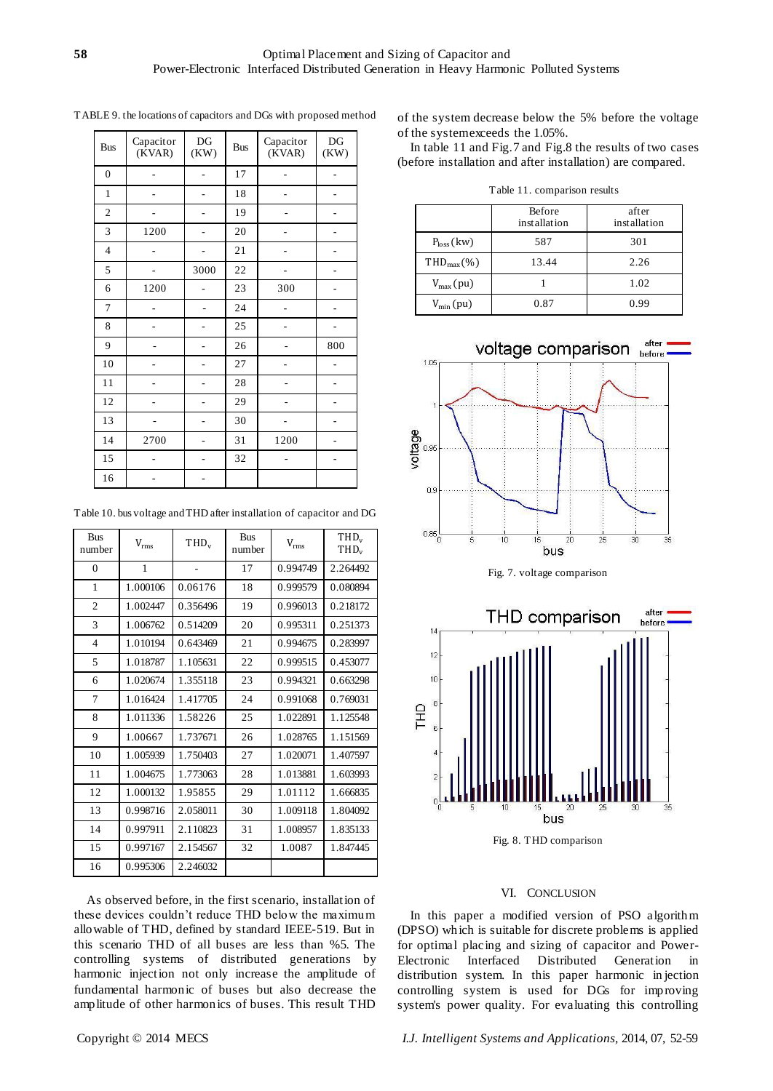| <b>Bus</b>       | Capacitor<br>(KVAR) | DG<br>(KW) | <b>Bus</b> | Capacitor<br>(KVAR) | DG<br>(KW) |
|------------------|---------------------|------------|------------|---------------------|------------|
| $\boldsymbol{0}$ |                     |            | 17         |                     |            |
| $\mathbf{1}$     |                     |            | 18         |                     |            |
| $\overline{2}$   |                     |            | 19         |                     |            |
| 3                | 1200                |            | 20         |                     |            |
| $\overline{4}$   |                     |            | 21         |                     |            |
| 5                |                     | 3000       | 22         |                     |            |
| 6                | 1200                |            | 23         | 300                 |            |
| $\overline{7}$   |                     |            | 24         |                     |            |
| 8                |                     |            | 25         |                     |            |
| 9                |                     |            | 26         |                     | 800        |
| 10               |                     |            | 27         |                     |            |
| 11               |                     |            | 28         |                     |            |
| 12               |                     |            | 29         |                     |            |
| 13               |                     |            | 30         |                     |            |
| 14               | 2700                |            | 31         | 1200                |            |
| 15               |                     |            | 32         |                     |            |
| 16               |                     |            |            |                     |            |

TABLE 9. the locations of capacitors and DGs with proposed method

Table 10. bus voltage and THD after installation of capacitor and DG

| <b>Bus</b><br>number | $V_{rms}$ | $THD_v$  | <b>Bus</b><br>number | $\rm V_{rms}$ | $THD_{v}$<br>$THD_{v}$ |
|----------------------|-----------|----------|----------------------|---------------|------------------------|
| $\overline{0}$       | 1         |          | 17                   | 0.994749      | 2.264492               |
| 1                    | 1.000106  | 0.06176  | 18                   | 0.999579      | 0.080894               |
| $\overline{2}$       | 1.002447  | 0.356496 | 19                   | 0.996013      | 0.218172               |
| 3                    | 1.006762  | 0.514209 | 20                   | 0.995311      | 0.251373               |
| $\overline{4}$       | 1.010194  | 0.643469 | 21                   | 0.994675      | 0.283997               |
| 5                    | 1.018787  | 1.105631 | 22                   | 0.999515      | 0.453077               |
| 6                    | 1.020674  | 1.355118 | 23                   | 0.994321      | 0.663298               |
| 7                    | 1.016424  | 1.417705 | 24                   | 0.991068      | 0.769031               |
| 8                    | 1.011336  | 1.58226  | 25                   | 1.022891      | 1.125548               |
| 9                    | 1.00667   | 1.737671 | 26                   | 1.028765      | 1.151569               |
| 10                   | 1.005939  | 1.750403 | 27                   | 1.020071      | 1.407597               |
| 11                   | 1.004675  | 1.773063 | 28                   | 1.013881      | 1.603993               |
| 12                   | 1.000132  | 1.95855  | 29                   | 1.01112       | 1.666835               |
| 13                   | 0.998716  | 2.058011 | 30                   | 1.009118      | 1.804092               |
| 14                   | 0.997911  | 2.110823 | 31                   | 1.008957      | 1.835133               |
| 15                   | 0.997167  | 2.154567 | 32                   | 1.0087        | 1.847445               |
| 16                   | 0.995306  | 2.246032 |                      |               |                        |

As observed before, in the first scenario, installation of these devices couldn't reduce THD below the maximum allowable of THD, defined by standard IEEE-519. But in this scenario THD of all buses are less than %5. The controlling systems of distributed generations by harmonic injection not only increase the amplitude of fundamental harmonic of buses but also decrease the amplitude of other harmonics of buses. This result THD

of the system decrease below the 5% before the voltage of the system exceeds the 1.05%.

In table 11 and Fig.7 and Fig.8 the results of two cases (before installation and after installation) are compared.

Table 11. comparison results

|                       | <b>Before</b><br>installation | after<br>installation |
|-----------------------|-------------------------------|-----------------------|
| $P_{loss}$ (kw)       | 587                           | 301                   |
| $THDmax(\%)$          | 13.44                         | 2.26                  |
| $V_{\text{max}}(pu)$  |                               | 1.02                  |
| $V_{\text{min}}$ (pu) | 0.87                          | 0.99                  |





## VI. CONCLUSION

In this paper a modified version of PSO algorithm (DPSO) which is suitable for discrete problems is applied for optimal placing and sizing of capacitor and Power-Electronic Interfaced Distributed Generation in distribution system. In this paper harmonic in jection controlling system is used for DGs for improving system's power quality. For evaluating this controlling

Copyright © 2014 MECS *I.J. Intelligent Systems and Applications,* 2014, 07, 52-59